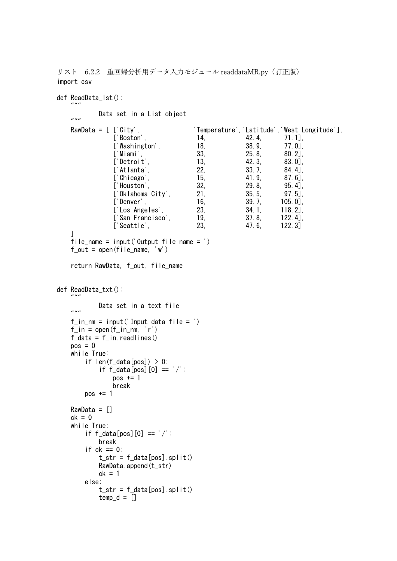リスト 6.2.2 重回帰分析用データ入力モジュール readdataMR.py(訂正版) import csv

def ReadData\_lst():

""<br>" Data set in a List object """<br>RawData = [ ['City', 'Temperature','Latitude','West\_Longitude'], ['Boston', 14, 42.4, 71.1] ['Washington', 18, 38.9, 77.0],<br>['Miami'. 33, 25.8, 80.2] ['Miami', 33, 25.8, 80.2], ['Detroit', 13, 42.3, 83.0], ['Atlanta', 22, 33.7, 84.4], ['Chicago', 15, 41.9, 87.6], ['Houston', 32, 29.8, 95.4],<br>['Oklahoma City', 21, 35.5, 97.5],  $\overline{C}$ 'Oklahoma City', 21, ['Denver', 16, 39.7, 105.0], ['Los Angeles', 23, 34.1, 118.2], ['San Francisco', 19, 37.8, 122.4],<br>['Seattle'. 23. 47.6, 122.3] ['Seattle', 23, 47.6, 122.3] ] file\_name = input('Output file name = ')  $f_{out} = open(file_name, 'w')$ return RawData, f\_out, file\_name def ReadData\_txt(): ""<br>" Data set in a text file """  $f_{\text{min}} = \text{input}($ ' Input data  $f_i \mid e = '$ )  $f_in = open(f_in_n, 'r')$  $f_{data} = f_{in}$ .readlines()  $pos = 0$ while True: if len(f data[pos])  $> 0$ : if  $f$  data[pos][0] ==  $'/$ :  $pos += 1$ break  $pos += 1$  $RawData = []$  $ck = 0$ while True: if  $f_{data}[pos][0] == '$  /': break if  $ck == 0$ :  $t<sub>str</sub> = f<sub>data[pos]</sub>$ .split() RawData.append(t\_str)  $ck = 1$ else:  $t_{str} = f_{data}[\text{pos}]$ . split()  $temp_d = []$